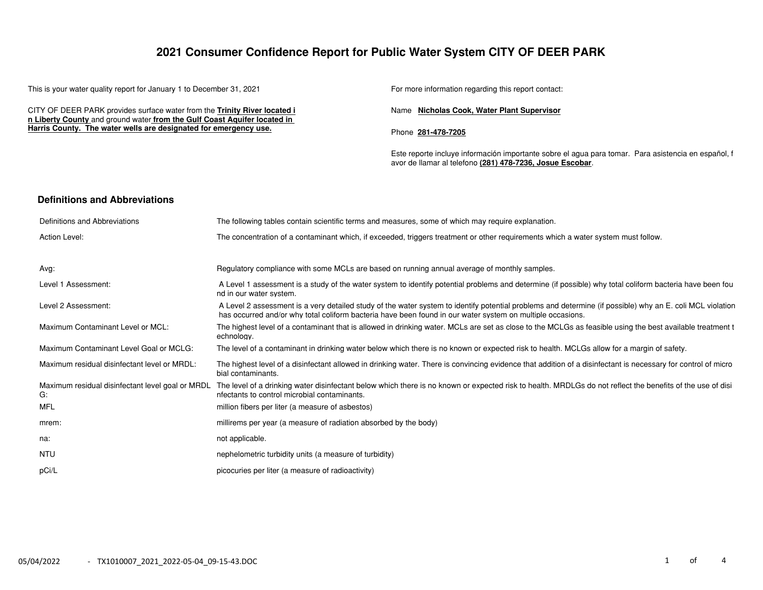## **2021 Consumer Confidence Report for Public Water System CITY OF DEER PARK**

This is your water quality report for January 1 to December 31, 2021 For more information regarding this report contact:

CITY OF DEER PARK provides surface water from the **Trinity River located i n Liberty County** and ground water **from the Gulf Coast Aquifer located in Harris County. The water wells are designated for emergency use.**

Name **Nicholas Cook, Water Plant Supervisor**

Phone **281−478−7205**

Este reporte incluye información importante sobre el agua para tomar. Para asistencia en español, f avor de llamar al telefono **(281) 478−7236, Josue Escobar**.

#### **Definitions and Abbreviations**

| Definitions and Abbreviations                          | The following tables contain scientific terms and measures, some of which may require explanation.                                                                                                                                                                      |
|--------------------------------------------------------|-------------------------------------------------------------------------------------------------------------------------------------------------------------------------------------------------------------------------------------------------------------------------|
| Action Level:                                          | The concentration of a contaminant which, if exceeded, triggers treatment or other requirements which a water system must follow.                                                                                                                                       |
| Avg:                                                   | Regulatory compliance with some MCLs are based on running annual average of monthly samples.                                                                                                                                                                            |
| Level 1 Assessment:                                    | A Level 1 assessment is a study of the water system to identify potential problems and determine (if possible) why total coliform bacteria have been fou<br>nd in our water system.                                                                                     |
| Level 2 Assessment:                                    | A Level 2 assessment is a very detailed study of the water system to identify potential problems and determine (if possible) why an E, coli MCL violation<br>has occurred and/or why total coliform bacteria have been found in our water system on multiple occasions. |
| Maximum Contaminant Level or MCL:                      | The highest level of a contaminant that is allowed in drinking water. MCLs are set as close to the MCLGs as feasible using the best available treatment t<br>echnology.                                                                                                 |
| Maximum Contaminant Level Goal or MCLG:                | The level of a contaminant in drinking water below which there is no known or expected risk to health. MCLGs allow for a margin of safety.                                                                                                                              |
| Maximum residual disinfectant level or MRDL:           | The highest level of a disinfectant allowed in drinking water. There is convincing evidence that addition of a disinfectant is necessary for control of micro<br>bial contaminants.                                                                                     |
| Maximum residual disinfectant level goal or MRDL<br>G: | The level of a drinking water disinfectant below which there is no known or expected risk to health. MRDLGs do not reflect the benefits of the use of disi<br>nfectants to control microbial contaminants.                                                              |
| MFL                                                    | million fibers per liter (a measure of asbestos)                                                                                                                                                                                                                        |
| mrem:                                                  | millirems per year (a measure of radiation absorbed by the body)                                                                                                                                                                                                        |
| na:                                                    | not applicable.                                                                                                                                                                                                                                                         |
| NTU                                                    | nephelometric turbidity units (a measure of turbidity)                                                                                                                                                                                                                  |
| pCi/L                                                  | picocuries per liter (a measure of radioactivity)                                                                                                                                                                                                                       |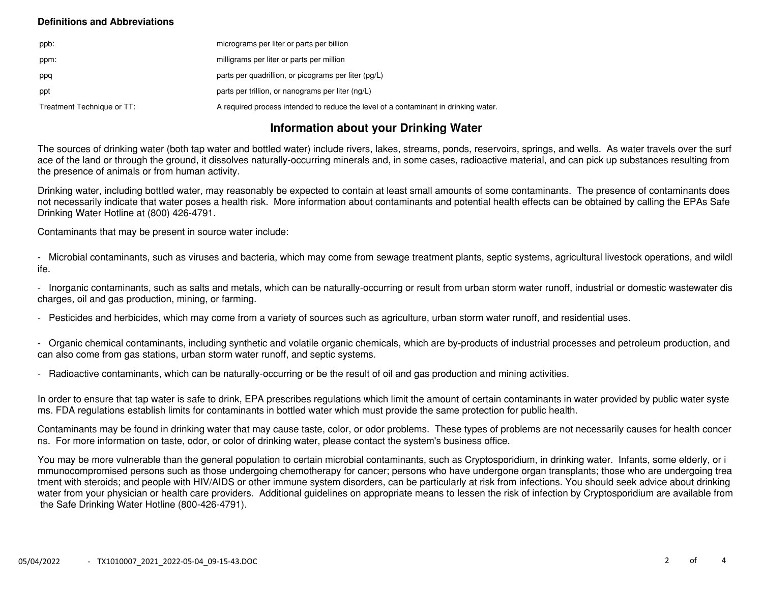### **Definitions and Abbreviations**

| ppb:                       | micrograms per liter or parts per billion                                           |
|----------------------------|-------------------------------------------------------------------------------------|
| ppm:                       | milligrams per liter or parts per million                                           |
| ppq                        | parts per quadrillion, or picograms per liter (pg/L)                                |
| ppt                        | parts per trillion, or nanograms per liter (ng/L)                                   |
| Treatment Technique or TT: | A required process intended to reduce the level of a contaminant in drinking water. |

# **Information about your Drinking Water**

The sources of drinking water (both tap water and bottled water) include rivers, lakes, streams, ponds, reservoirs, springs, and wells. As water travels over the surf ace of the land or through the ground, it dissolves naturally−occurring minerals and, in some cases, radioactive material, and can pick up substances resulting from the presence of animals or from human activity.

Drinking water, including bottled water, may reasonably be expected to contain at least small amounts of some contaminants. The presence of contaminants does not necessarily indicate that water poses a health risk. More information about contaminants and potential health effects can be obtained by calling the EPAs Safe Drinking Water Hotline at (800) 426−4791.

Contaminants that may be present in source water include:

− Microbial contaminants, such as viruses and bacteria, which may come from sewage treatment plants, septic systems, agricultural livestock operations, and wildl ife.

− Inorganic contaminants, such as salts and metals, which can be naturally−occurring or result from urban storm water runoff, industrial or domestic wastewater dis charges, oil and gas production, mining, or farming.

− Pesticides and herbicides, which may come from a variety of sources such as agriculture, urban storm water runoff, and residential uses.

− Organic chemical contaminants, including synthetic and volatile organic chemicals, which are by−products of industrial processes and petroleum production, and can also come from gas stations, urban storm water runoff, and septic systems.

− Radioactive contaminants, which can be naturally−occurring or be the result of oil and gas production and mining activities.

In order to ensure that tap water is safe to drink, EPA prescribes regulations which limit the amount of certain contaminants in water provided by public water syste ms. FDA regulations establish limits for contaminants in bottled water which must provide the same protection for public health.

Contaminants may be found in drinking water that may cause taste, color, or odor problems. These types of problems are not necessarily causes for health concer ns. For more information on taste, odor, or color of drinking water, please contact the system's business office.

You may be more vulnerable than the general population to certain microbial contaminants, such as Cryptosporidium, in drinking water. Infants, some elderly, or i mmunocompromised persons such as those undergoing chemotherapy for cancer; persons who have undergone organ transplants; those who are undergoing trea tment with steroids; and people with HIV/AIDS or other immune system disorders, can be particularly at risk from infections. You should seek advice about drinking water from your physician or health care providers. Additional guidelines on appropriate means to lessen the risk of infection by Cryptosporidium are available from the Safe Drinking Water Hotline (800−426−4791).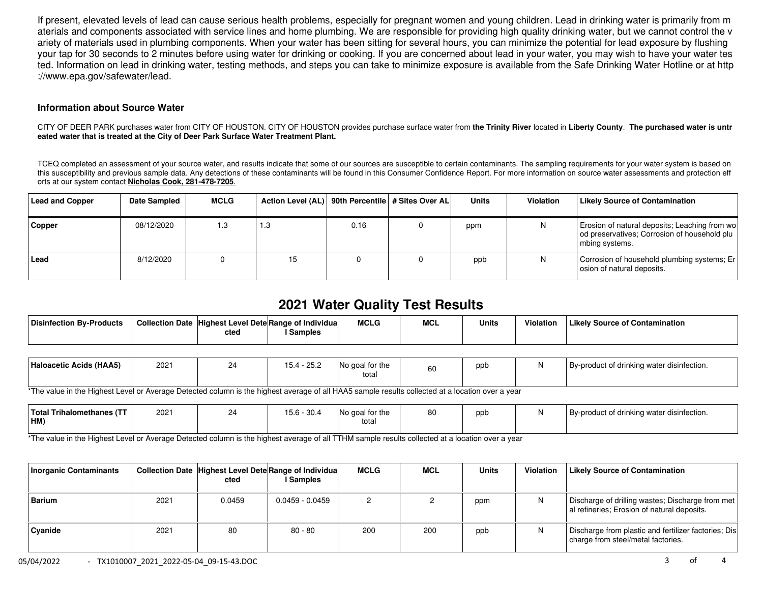If present, elevated levels of lead can cause serious health problems, especially for pregnant women and young children. Lead in drinking water is primarily from m aterials and components associated with service lines and home plumbing. We are responsible for providing high quality drinking water, but we cannot control the v ariety of materials used in plumbing components. When your water has been sitting for several hours, you can minimize the potential for lead exposure by flushing your tap for 30 seconds to 2 minutes before using water for drinking or cooking. If you are concerned about lead in your water, you may wish to have your water tes ted. Information on lead in drinking water, testing methods, and steps you can take to minimize exposure is available from the Safe Drinking Water Hotline or at http ://www.epa.gov/safewater/lead.

#### **Information about Source Water**

CITY OF DEER PARK purchases water from CITY OF HOUSTON. CITY OF HOUSTON provides purchase surface water from **the Trinity River** located in **Liberty County**. **The purchased water is untr eated water that is treated at the City of Deer Park Surface Water Treatment Plant.**

TCEQ completed an assessment of your source water, and results indicate that some of our sources are susceptible to certain contaminants. The sampling requirements for your water system is based on this susceptibility and previous sample data. Any detections of these contaminants will be found in this Consumer Confidence Report. For more information on source water assessments and protection eff orts at our system contact **Nicholas Cook, 281−478−7205**.

| <b>Lead and Copper</b> | <b>Date Sampled</b> | <b>MCLG</b> | Action Level (AL)   90th Percentile   # Sites Over AL |      | <b>Units</b> | Violation | Likely Source of Contamination                                                                                  |
|------------------------|---------------------|-------------|-------------------------------------------------------|------|--------------|-----------|-----------------------------------------------------------------------------------------------------------------|
| Copper                 | 08/12/2020          | 1.3         | 1.3                                                   | 0.16 | ppm          | N         | Erosion of natural deposits; Leaching from wo<br>od preservatives; Corrosion of household plu<br>mbing systems. |
| Lead                   | 8/12/2020           |             | 15                                                    |      | ppb          | Ν         | Corrosion of household plumbing systems; Er<br>osion of natural deposits.                                       |

# **2021 Water Quality Test Results**

| <b>Disinfection By-Products</b> | Collection Date Highest Level Dete Range of Individual |                | <b>MCLG</b> | <b>MCL</b> | <b>Units</b> | Violation | Likelv Source of Contamination |
|---------------------------------|--------------------------------------------------------|----------------|-------------|------------|--------------|-----------|--------------------------------|
|                                 | cted                                                   | <b>Samples</b> |             |            |              |           |                                |

| ے.ت<br>ื้∼∙<br><u>_</u><br>total | Haloacetic Acids (HAA5)<br>റ⊏ റ<br>2021<br>No goal for the<br>By-product of drinking water disinfection.<br>ppb<br>60 |  |
|----------------------------------|-----------------------------------------------------------------------------------------------------------------------|--|
|----------------------------------|-----------------------------------------------------------------------------------------------------------------------|--|

\*The value in the Highest Level or Average Detected column is the highest average of all HAA5 sample results collected at a location over a year

| <b>Total Trihalomethanes (</b><br>HM) | 2021 | $\bigcap$ | ാപ<br>15.O<br>ى. ب | I for the<br>No ɑoal<br>total | 80 | ppb | y-product of drinking water disinfection. |
|---------------------------------------|------|-----------|--------------------|-------------------------------|----|-----|-------------------------------------------|
|                                       |      |           |                    |                               |    |     |                                           |

\*The value in the Highest Level or Average Detected column is the highest average of all TTHM sample results collected at a location over a year

| <b>Inorganic Contaminants</b> |      | cted   | Collection Date Highest Level Dete Range of Individua<br>  Samples | <b>MCLG</b> | <b>MCL</b> | <b>Units</b> | <b>Violation</b> | Likely Source of Contamination                                                                    |
|-------------------------------|------|--------|--------------------------------------------------------------------|-------------|------------|--------------|------------------|---------------------------------------------------------------------------------------------------|
| <b>Barium</b>                 | 2021 | 0.0459 | $0.0459 - 0.0459$                                                  |             |            | ppm          | N.               | Discharge of drilling wastes; Discharge from met  <br>al refineries; Erosion of natural deposits. |
| Cvanide                       | 2021 | 80     | $80 - 80$                                                          | 200         | 200        | ppb          | N                | Discharge from plastic and fertilizer factories; Dis<br>charge from steel/metal factories.        |